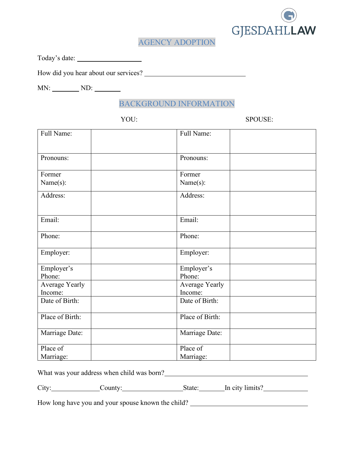

## AGENCY ADOPTION

Today's date:

How did you hear about our services?

MN: ND: ND:

BACKGROUND INFORMATION

YOU: SPOUSE:

| Full Name:      | Full Name:      |  |  |
|-----------------|-----------------|--|--|
| Pronouns:       | Pronouns:       |  |  |
| Former          | Former          |  |  |
| Name(s):        | Name(s):        |  |  |
| Address:        | Address:        |  |  |
| Email:          | Email:          |  |  |
| Phone:          | Phone:          |  |  |
| Employer:       | Employer:       |  |  |
| Employer's      | Employer's      |  |  |
| Phone:          | Phone:          |  |  |
| Average Yearly  | Average Yearly  |  |  |
| Income:         | Income:         |  |  |
| Date of Birth:  | Date of Birth:  |  |  |
| Place of Birth: | Place of Birth: |  |  |
| Marriage Date:  | Marriage Date:  |  |  |
| Place of        | Place of        |  |  |
| Marriage:       | Marriage:       |  |  |

What was your address when child was born?<br>
<u>United was bounded</u> was local contract to the child was born?

City: County: County: State: In city limits?

How long have you and your spouse known the child? \_\_\_\_\_\_\_\_\_\_\_\_\_\_\_\_\_\_\_\_\_\_\_\_\_\_\_\_\_\_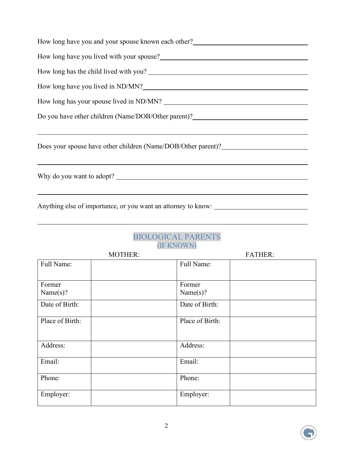| How long have you and your spouse known each other?_____________________________                                                                                                                                                     |  |  |  |
|--------------------------------------------------------------------------------------------------------------------------------------------------------------------------------------------------------------------------------------|--|--|--|
|                                                                                                                                                                                                                                      |  |  |  |
|                                                                                                                                                                                                                                      |  |  |  |
| How long have you lived in ND/MN?<br><u>Letting</u> the summary control of the set of the set of the set of the set of the set of the set of the set of the set of the set of the set of the set of the set of the set of the set of |  |  |  |
|                                                                                                                                                                                                                                      |  |  |  |
| Do you have other children (Name/DOB/Other parent)?_____________________________                                                                                                                                                     |  |  |  |
|                                                                                                                                                                                                                                      |  |  |  |
| Does your spouse have other children (Name/DOB/Other parent)?____________________                                                                                                                                                    |  |  |  |
|                                                                                                                                                                                                                                      |  |  |  |
| Why do you want to adopt?                                                                                                                                                                                                            |  |  |  |
|                                                                                                                                                                                                                                      |  |  |  |
| Anything else of importance, or you want an attorney to know: ___________________                                                                                                                                                    |  |  |  |

## BIOLOGICAL PARENTS (IF KNOWN)

| <b>MOTHER:</b>  |                 | <b>FATHER:</b> |  |
|-----------------|-----------------|----------------|--|
| Full Name:      | Full Name:      |                |  |
|                 |                 |                |  |
| Former          | Former          |                |  |
| Name(s)?        | Name(s)?        |                |  |
| Date of Birth:  | Date of Birth:  |                |  |
| Place of Birth: | Place of Birth: |                |  |
| Address:        | Address:        |                |  |
| Email:          | Email:          |                |  |
| Phone:          | Phone:          |                |  |
| Employer:       | Employer:       |                |  |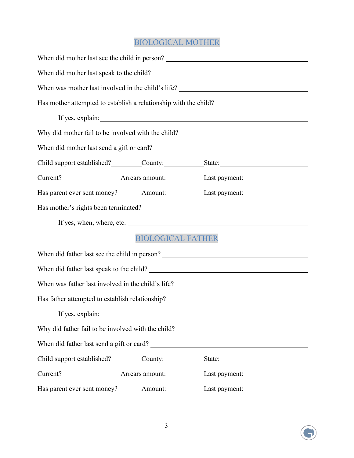## BIOLOGICAL MOTHER

|                                                                                  |  | When did mother last see the child in person? ___________________________________                                                                                                                                                        |  |  |  |
|----------------------------------------------------------------------------------|--|------------------------------------------------------------------------------------------------------------------------------------------------------------------------------------------------------------------------------------------|--|--|--|
|                                                                                  |  |                                                                                                                                                                                                                                          |  |  |  |
|                                                                                  |  |                                                                                                                                                                                                                                          |  |  |  |
|                                                                                  |  | Has mother attempted to establish a relationship with the child? ___________________________________                                                                                                                                     |  |  |  |
|                                                                                  |  |                                                                                                                                                                                                                                          |  |  |  |
|                                                                                  |  |                                                                                                                                                                                                                                          |  |  |  |
|                                                                                  |  |                                                                                                                                                                                                                                          |  |  |  |
|                                                                                  |  | Child support established? County: State:                                                                                                                                                                                                |  |  |  |
|                                                                                  |  | Current? <b>Market Current 2</b> Arrears amount: <b>Market Current 2</b> Last payment: <b>Market Current 2</b>                                                                                                                           |  |  |  |
|                                                                                  |  |                                                                                                                                                                                                                                          |  |  |  |
|                                                                                  |  |                                                                                                                                                                                                                                          |  |  |  |
|                                                                                  |  | If yes, when, where, etc.                                                                                                                                                                                                                |  |  |  |
| <b>BIOLOGICAL FATHER</b>                                                         |  |                                                                                                                                                                                                                                          |  |  |  |
|                                                                                  |  |                                                                                                                                                                                                                                          |  |  |  |
|                                                                                  |  |                                                                                                                                                                                                                                          |  |  |  |
|                                                                                  |  |                                                                                                                                                                                                                                          |  |  |  |
| Has father attempted to establish relationship? ________________________________ |  |                                                                                                                                                                                                                                          |  |  |  |
|                                                                                  |  | If yes, explain:                                                                                                                                                                                                                         |  |  |  |
|                                                                                  |  |                                                                                                                                                                                                                                          |  |  |  |
|                                                                                  |  |                                                                                                                                                                                                                                          |  |  |  |
|                                                                                  |  | Child support established? _________County: ______________State: ___________________________________                                                                                                                                     |  |  |  |
|                                                                                  |  | Current? <b>Market Current</b> 2 Arrears amount: <b>Market 2 Arrears amount:</b> Last payment: Last payment: Last payment: Last payment: Last payment: Last payment: Last payment: Last payment: Last payment: Last payment: Last paymen |  |  |  |
|                                                                                  |  |                                                                                                                                                                                                                                          |  |  |  |